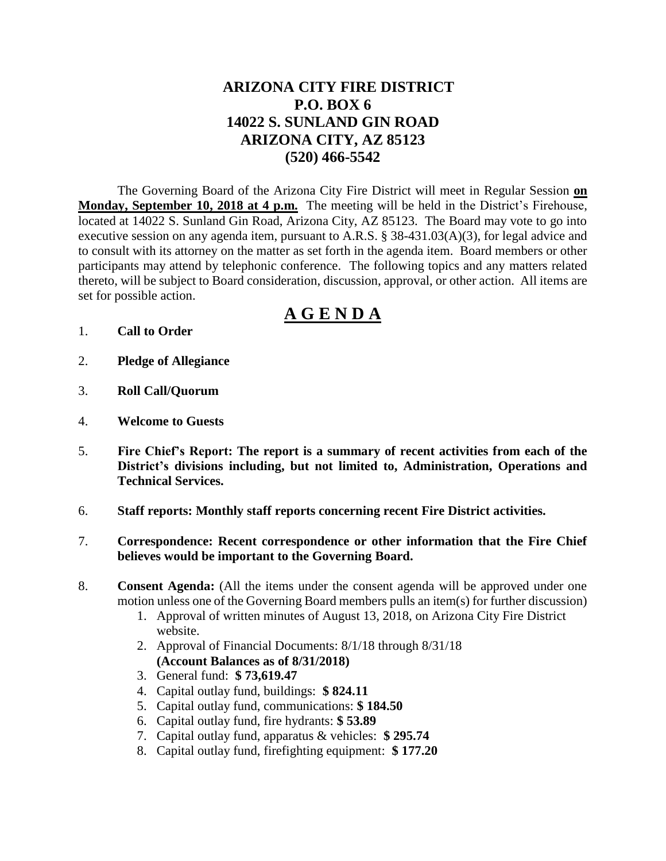# **ARIZONA CITY FIRE DISTRICT P.O. BOX 6 14022 S. SUNLAND GIN ROAD ARIZONA CITY, AZ 85123 (520) 466-5542**

The Governing Board of the Arizona City Fire District will meet in Regular Session **on Monday, September 10, 2018 at 4 p.m.** The meeting will be held in the District's Firehouse, located at 14022 S. Sunland Gin Road, Arizona City, AZ 85123. The Board may vote to go into executive session on any agenda item, pursuant to A.R.S. § 38-431.03(A)(3), for legal advice and to consult with its attorney on the matter as set forth in the agenda item. Board members or other participants may attend by telephonic conference. The following topics and any matters related thereto, will be subject to Board consideration, discussion, approval, or other action. All items are set for possible action.

# **A G E N D A**

- 1. **Call to Order**
- 2. **Pledge of Allegiance**
- 3. **Roll Call/Quorum**
- 4. **Welcome to Guests**
- 5. **Fire Chief's Report: The report is a summary of recent activities from each of the District's divisions including, but not limited to, Administration, Operations and Technical Services.**
- 6. **Staff reports: Monthly staff reports concerning recent Fire District activities.**
- 7. **Correspondence: Recent correspondence or other information that the Fire Chief believes would be important to the Governing Board.**
- 8. **Consent Agenda:** (All the items under the consent agenda will be approved under one motion unless one of the Governing Board members pulls an item(s) for further discussion)
	- 1. Approval of written minutes of August 13, 2018, on Arizona City Fire District website.
	- 2. Approval of Financial Documents: 8/1/18 through 8/31/18 **(Account Balances as of 8/31/2018)**
	- 3. General fund: **\$ 73,619.47**
	- 4. Capital outlay fund, buildings: **\$ 824.11**
	- 5. Capital outlay fund, communications: **\$ 184.50**
	- 6. Capital outlay fund, fire hydrants: **\$ 53.89**
	- 7. Capital outlay fund, apparatus & vehicles: **\$ 295.74**
	- 8. Capital outlay fund, firefighting equipment: **\$ 177.20**